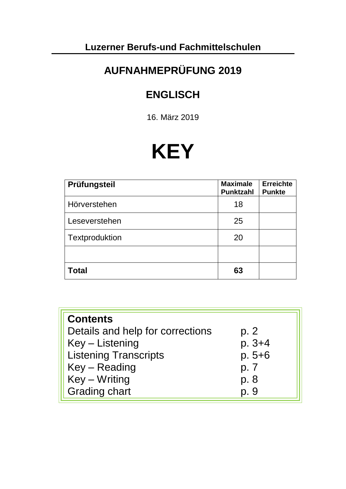# **Luzerner Berufs-und Fachmittelschulen**

# **AUFNAHMEPRÜFUNG 2019**

# **ENGLISCH**

16. März 2019

# **KEY**

| Prüfungsteil   | <b>Maximale</b><br><b>Punktzahl</b> | <b>Erreichte</b><br><b>Punkte</b> |
|----------------|-------------------------------------|-----------------------------------|
| Hörverstehen   | 18                                  |                                   |
| Leseverstehen  | 25                                  |                                   |
| Textproduktion | 20                                  |                                   |
|                |                                     |                                   |
| Total          | 63                                  |                                   |

| <b>Contents</b>                  |            |
|----------------------------------|------------|
| Details and help for corrections | p. 2       |
| Key – Listening                  | $p. 3 + 4$ |
| <b>Listening Transcripts</b>     | $p.5 + 6$  |
| Key – Reading                    | p. 7       |
| Key – Writing                    | p. 8       |
| <b>Grading chart</b>             | p. 9       |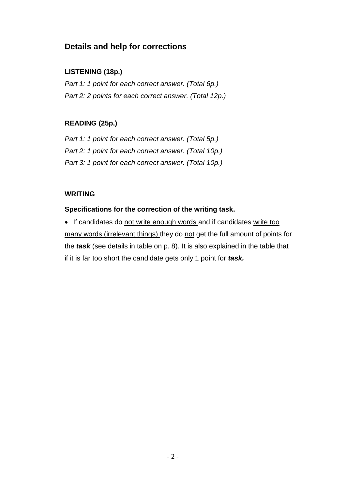### **Details and help for corrections**

### **LISTENING (18p.)**

*Part 1: 1 point for each correct answer. (Total 6p.) Part 2: 2 points for each correct answer. (Total 12p.)*

### **READING (25p.)**

*Part 1: 1 point for each correct answer. (Total 5p.) Part 2: 1 point for each correct answer. (Total 10p.) Part 3: 1 point for each correct answer. (Total 10p.)*

### **WRITING**

### **Specifications for the correction of the writing task.**

• If candidates do not write enough words and if candidates write too many words (irrelevant things) they do not get the full amount of points for the *task* (see details in table on p. 8). It is also explained in the table that if it is far too short the candidate gets only 1 point for *task.*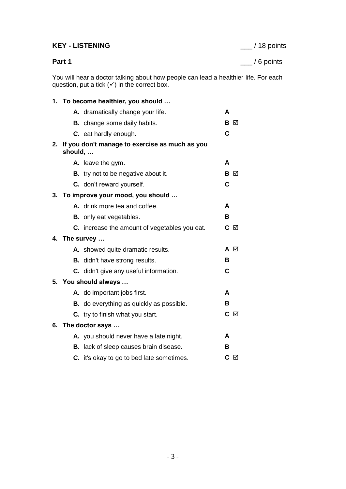### **KEY - LISTENING** \_\_\_ / 18 points

**Part 1** \_\_\_ / 6 points

You will hear a doctor talking about how people can lead a healthier life. For each question, put a tick  $(√)$  in the correct box.

### **1. To become healthier, you should …**

|    |         | A. dramatically change your life.               | A   |   |
|----|---------|-------------------------------------------------|-----|---|
|    |         | <b>B.</b> change some daily habits.             | в   | M |
|    |         | C. eat hardly enough.                           | C   |   |
| 2. | should, | If you don't manage to exercise as much as you  |     |   |
|    |         | A. leave the gym.                               | A   |   |
|    |         | <b>B.</b> try not to be negative about it.      | В   | M |
|    |         | C. don't reward yourself.                       | C   |   |
|    |         | 3. To improve your mood, you should             |     |   |
|    |         | A. drink more tea and coffee.                   | A   |   |
|    |         | <b>B.</b> only eat vegetables.                  | В   |   |
|    |         | C. increase the amount of vegetables you eat.   | C   | ☑ |
| 4. |         | The survey                                      |     |   |
|    |         | A. showed quite dramatic results.               | A ⊠ |   |
|    |         | <b>B.</b> didn't have strong results.           | в   |   |
|    |         | C. didn't give any useful information.          | С   |   |
|    |         | 5. You should always                            |     |   |
|    |         | A. do important jobs first.                     | A   |   |
|    |         | <b>B.</b> do everything as quickly as possible. | в   |   |
|    |         | <b>C.</b> try to finish what you start.         | C ⊠ |   |
| 6. |         | The doctor says                                 |     |   |
|    |         | A. you should never have a late night.          | A   |   |
|    |         | <b>B.</b> lack of sleep causes brain disease.   | в   |   |
|    |         | C. it's okay to go to bed late sometimes.       | C   | ☑ |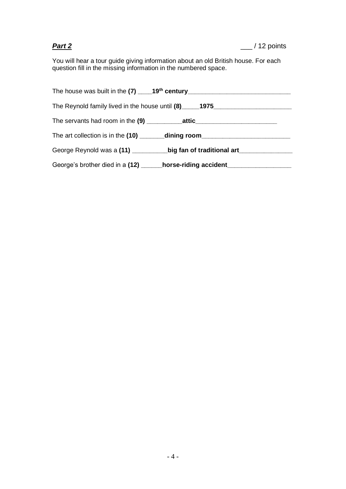You will hear a tour guide giving information about an old British house. For each question fill in the missing information in the numbered space.

| The Reynold family lived in the house until (8) _____1975_______________________ |
|----------------------------------------------------------------------------------|
|                                                                                  |
| The art collection is in the (10) ________dining room___________________________ |
| George Reynold was a (11) __________big fan of traditional art__________________ |
| George's brother died in a (12) ______ horse-riding accident____________________ |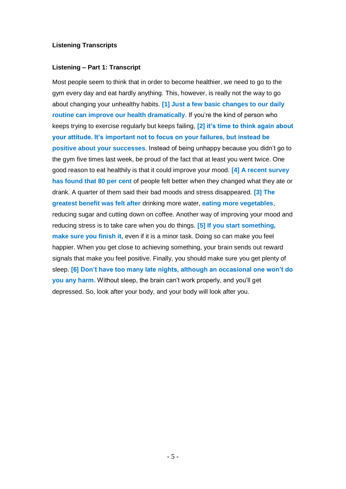### **Listening Transcripts**

### **Listening – Part 1: Transcript**

Most people seem to think that in order to become healthier, we need to go to the gym every day and eat hardly anything. This, however, is really not the way to go about changing your unhealthy habits. **[1] Just a few basic changes to our daily routine can improve our health dramatically**. If you're the kind of person who keeps trying to exercise regularly but keeps failing, **[2] it's time to think again about your attitude. It's important not to focus on your failures, but instead be positive about your successes**. Instead of being unhappy because you didn't go to the gym five times last week, be proud of the fact that at least you went twice. One good reason to eat healthily is that it could improve your mood. **[4] A recent survey has found that 80 per cent** of people felt better when they changed what they ate or drank. A quarter of them said their bad moods and stress disappeared. **[3] The greatest benefit was felt after** drinking more water, **eating more vegetables**, reducing sugar and cutting down on coffee. Another way of improving your mood and reducing stress is to take care when you do things. **[5] If you start something, make sure you finish it,** even if it is a minor task. Doing so can make you feel happier. When you get close to achieving something, your brain sends out reward signals that make you feel positive. Finally, you should make sure you get plenty of sleep. **[6] Don't have too many late nights, although an occasional one won't do you any harm.** Without sleep, the brain can't work properly, and you'll get depressed. So, look after your body, and your body will look after you.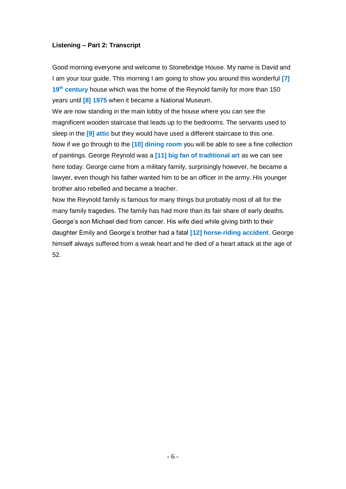### **Listening – Part 2: Transcript**

Good morning everyone and welcome to Stonebridge House. My name is David and I am your tour guide. This morning I am going to show you around this wonderful **[7] 19th century** house which was the home of the Reynold family for more than 150 years until **[8] 1975** when it became a National Museum.

We are now standing in the main lobby of the house where you can see the magnificent wooden staircase that leads up to the bedrooms. The servants used to sleep in the **[9] attic** but they would have used a different staircase to this one. Now if we go through to the **[10] dining room** you will be able to see a fine collection of paintings. George Reynold was a **[11] big fan of traditional art** as we can see here today. George came from a military family, surprisingly however, he became a lawyer, even though his father wanted him to be an officer in the army. His younger brother also rebelled and became a teacher.

Now the Reynold family is famous for many things but probably most of all for the many family tragedies. The family has had more than its fair share of early deaths. George's son Michael died from cancer. His wife died while giving birth to their daughter Emily and George's brother had a fatal **[12] horse-riding accident**. George himself always suffered from a weak heart and he died of a heart attack at the age of 52.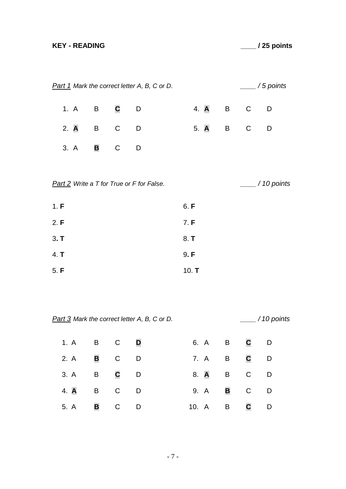# **KEY - READING \_\_\_\_ / 25 points**

|      |             |             | <b>Part 1</b> Mark the correct letter A, B, C or D. |         |                |              | $\frac{1}{2}$ / 5 points  |
|------|-------------|-------------|-----------------------------------------------------|---------|----------------|--------------|---------------------------|
| 1. A | B           | $\mathbf c$ | D                                                   | 4. A    | $\overline{B}$ | $\mathsf{C}$ | D                         |
| 2. A | B           | $\mathsf C$ | D                                                   | 5. A    | B <sub>a</sub> | $\mathsf C$  | D                         |
| 3. A | $\mathbf B$ | $\mathsf C$ | D                                                   |         |                |              |                           |
|      |             |             | <b>Part 2</b> Write a T for True or F for False.    |         |                |              | $\frac{1}{2}$ / 10 points |
| 1. F |             |             |                                                     | 6. F    |                |              |                           |
| 2. F |             |             |                                                     | 7. F    |                |              |                           |
| 3. T |             |             |                                                     | 8. T    |                |              |                           |
| 4. T |             |             |                                                     | 9. F    |                |              |                           |
| 5. F |             |             |                                                     | 10. $T$ |                |              |                           |

*Part 3 Mark the correct letter A, B, C or D. \_\_\_\_ / 10 points*

| 1. A B C        |          |   | <b>D</b> |       |      | 6. A B      | C D          |     |
|-----------------|----------|---|----------|-------|------|-------------|--------------|-----|
| 2. A            | B C      |   | <b>D</b> |       | 7. A | $\mathsf B$ | C            | D   |
| 3. A B C        |          |   | $\Box$   |       | 8. A | $\mathsf B$ | $\mathsf{C}$ | - D |
| 4. <b>A</b> B C |          |   | $\Box$   |       | 9. A | B           | $\mathsf{C}$ | D   |
| 5. A            | <b>B</b> | C | <b>D</b> | 10. A |      | $\mathsf B$ | $\mathbf C$  | D   |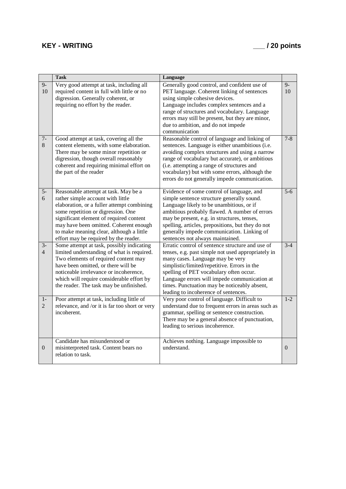## **KEY - WRITING \_\_\_ / 20 points**

|                        | <b>Task</b>                                                                                                                                                                                                                                                                                                                             | Language                                                                                                                                                                                                                                                                                                                                                                      |                  |
|------------------------|-----------------------------------------------------------------------------------------------------------------------------------------------------------------------------------------------------------------------------------------------------------------------------------------------------------------------------------------|-------------------------------------------------------------------------------------------------------------------------------------------------------------------------------------------------------------------------------------------------------------------------------------------------------------------------------------------------------------------------------|------------------|
| $9-$<br>10             | Very good attempt at task, including all<br>required content in full with little or no<br>digression. Generally coherent, or<br>requiring no effort by the reader.                                                                                                                                                                      | Generally good control, and confident use of<br>PET language. Coherent linking of sentences<br>using simple cohesive devices.<br>Language includes complex sentences and a<br>range of structures and vocabulary. Language<br>errors may still be present, but they are minor,<br>due to ambition, and do not impede<br>communication                                         | $9-$<br>10       |
| $7-$<br>8              | Good attempt at task, covering all the<br>content elements, with some elaboration.<br>There may be some minor repetition or<br>digression, though overall reasonably<br>coherent and requiring minimal effort on<br>the part of the reader                                                                                              | Reasonable control of language and linking of<br>sentences. Language is either unambitious (i.e.<br>avoiding complex structures and using a narrow<br>range of vocabulary but accurate), or ambitious<br>(i.e. attempting a range of structures and<br>vocabulary) but with some errors, although the<br>errors do not generally impede communication.                        | $7 - 8$          |
| $5-$<br>6              | Reasonable attempt at task. May be a<br>rather simple account with little<br>elaboration, or a fuller attempt combining<br>some repetition or digression. One<br>significant element of required content<br>may have been omitted. Coherent enough<br>to make meaning clear, although a little<br>effort may be required by the reader. | Evidence of some control of language, and<br>simple sentence structure generally sound.<br>Language likely to be unambitious, or if<br>ambitious probably flawed. A number of errors<br>may be present, e.g. in structures, tenses,<br>spelling, articles, prepositions, but they do not<br>generally impede communication. Linking of<br>sentences not always maintained.    | $\overline{5-6}$ |
| $3-$<br>$\overline{4}$ | Some attempt at task, possibly indicating<br>limited understanding of what is required.<br>Two elements of required content may<br>have been omitted, or there will be<br>noticeable irrelevance or incoherence,<br>which will require considerable effort by<br>the reader. The task may be unfinished.                                | Erratic control of sentence structure and use of<br>tenses, e.g. past simple not used appropriately in<br>many cases. Language may be very<br>simplistic/limited/repetitive. Errors in the<br>spelling of PET vocabulary often occur.<br>Language errors will impede communication at<br>times. Punctuation may be noticeably absent,<br>leading to incoherence of sentences. | $3-4$            |
| $1-$<br>$\overline{2}$ | Poor attempt at task, including little of<br>relevance, and /or it is far too short or very<br>incoherent.                                                                                                                                                                                                                              | Very poor control of language. Difficult to<br>understand due to frequent errors in areas such as<br>grammar, spelling or sentence construction.<br>There may be a general absence of punctuation,<br>leading to serious incoherence.                                                                                                                                         | $1 - 2$          |
| $\theta$               | Candidate has misunderstood or<br>misinterpreted task. Content bears no<br>relation to task.                                                                                                                                                                                                                                            | Achieves nothing. Language impossible to<br>understand.                                                                                                                                                                                                                                                                                                                       | $\overline{0}$   |